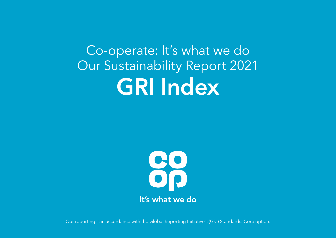Co-operate: It's what we do Our Sustainability Report 2021 GRI Index



Our reporting is in accordance with the [Global Reporting Initiative's \(GRI\) Standards:](https://www.globalreporting.org/standards/) Core option.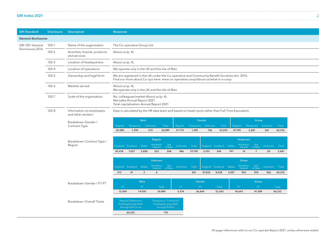## GRI Index 2021 2

| <b>GRI Standard</b>        | <b>Disclosure</b> | <b>Description</b>                            | <b>Response</b>                                                                                  |                                                                                                                                                                                                                                                                                                                                                                             |                         |                                               |                       |                   |                 |                                           |                           |                |                                               |                                     |                |                 |
|----------------------------|-------------------|-----------------------------------------------|--------------------------------------------------------------------------------------------------|-----------------------------------------------------------------------------------------------------------------------------------------------------------------------------------------------------------------------------------------------------------------------------------------------------------------------------------------------------------------------------|-------------------------|-----------------------------------------------|-----------------------|-------------------|-----------------|-------------------------------------------|---------------------------|----------------|-----------------------------------------------|-------------------------------------|----------------|-----------------|
| <b>General disclosures</b> |                   |                                               |                                                                                                  |                                                                                                                                                                                                                                                                                                                                                                             |                         |                                               |                       |                   |                 |                                           |                           |                |                                               |                                     |                |                 |
| GRI 102: General           | $102-1$           | Name of the organisation                      | The Co-operative Group Ltd.                                                                      |                                                                                                                                                                                                                                                                                                                                                                             |                         |                                               |                       |                   |                 |                                           |                           |                |                                               |                                     |                |                 |
| Disclosures 2016           | $102 - 2$         | Activities, brands, products,<br>and services | About us (p. 4).                                                                                 |                                                                                                                                                                                                                                                                                                                                                                             |                         |                                               |                       |                   |                 |                                           |                           |                |                                               |                                     |                |                 |
|                            | $102 - 3$         | Location of headquarters                      | About us (p. 4).                                                                                 |                                                                                                                                                                                                                                                                                                                                                                             |                         |                                               |                       |                   |                 |                                           |                           |                |                                               |                                     |                |                 |
|                            | $102 - 4$         | Location of operations                        |                                                                                                  | We operate only in the UK and the Isle of Man.                                                                                                                                                                                                                                                                                                                              |                         |                                               |                       |                   |                 |                                           |                           |                |                                               |                                     |                |                 |
|                            | $102 - 5$         | Ownership and legal form                      |                                                                                                  | We are registered in the UK under the Co-operative and Community Benefit Societies Act, 2014.<br>Find our more about Co-ops here: www.co-operative.coop/about-us/what-is-a-coop<br>About us (p. 4).<br>We operate only in the UK and the Isle of Man.<br>No. colleagues/market-About us (p. 4).<br>Net sales-Annual Report 2021.<br>Total capitalisation-Annual Report 2021 |                         |                                               |                       |                   |                 |                                           |                           |                |                                               |                                     |                |                 |
|                            | $102 - 6$         | Markets served                                |                                                                                                  |                                                                                                                                                                                                                                                                                                                                                                             |                         |                                               |                       |                   |                 |                                           |                           |                |                                               |                                     |                |                 |
|                            | 102-7             | Scale of the organisation                     |                                                                                                  |                                                                                                                                                                                                                                                                                                                                                                             |                         |                                               |                       |                   |                 |                                           |                           |                |                                               |                                     |                |                 |
|                            | $102 - 8$         | Information on employees<br>and other workers | Data is calculated by the HR data team and based on head count rather than Full Time Equivalent. |                                                                                                                                                                                                                                                                                                                                                                             |                         |                                               |                       |                   |                 |                                           |                           |                |                                               |                                     |                |                 |
|                            |                   | Breakdown-Gender /<br>Contract Type           | Regular<br>25,480                                                                                | Temporary Unknown<br>1,294                                                                                                                                                                                                                                                                                                                                                  | Male                    | 215                                           | Total<br>26,989       | Regular<br>31,710 | 1,387           | <b>Female</b><br>Temporary Unknown<br>146 | Total<br>33,243           |                | Regular<br>57,190                             | Group<br>Temporary Unknown<br>2,681 | 361            | Total<br>60,232 |
|                            |                   | Breakdown-Contract Type /<br>Region           | England Scotland<br>45,418                                                                       | 7,657                                                                                                                                                                                                                                                                                                                                                                       | Wales<br>2,858          | Regular<br>Northern<br>Ireland<br>523         | Isle<br>of Man<br>248 | Unknown<br>486    | Total<br>57,190 | 2,103                                     | England Scotland<br>340   | Wales<br>197   | <b>Temporary</b><br>Northern<br>Ireland<br>14 | Isle<br>of Man<br>$\overline{7}$    | Unknown<br>20  | Total<br>2,681  |
|                            |                   |                                               | England Scotland<br>312                                                                          | 41                                                                                                                                                                                                                                                                                                                                                                          | Wales<br>$\overline{2}$ | <b>Unknown</b><br>Northern<br>Ireland<br>6    | Isle<br>of Man        | Unknown           | Total<br>361    | 47,833                                    | England Scotland<br>8,038 | Wales<br>3,057 | Group<br>Northern<br>Ireland<br>543           | Isle<br>of Man<br>255               | Unknown<br>506 | Total<br>60,232 |
|                            |                   | Breakdown-Gender / FT-PT                      |                                                                                                  |                                                                                                                                                                                                                                                                                                                                                                             | <b>Male</b>             |                                               |                       |                   |                 | Female                                    |                           |                |                                               | Group                               |                |                 |
|                            |                   |                                               | FT.<br>12,069                                                                                    |                                                                                                                                                                                                                                                                                                                                                                             | PT.<br>14,920           | Total<br>26,989                               |                       | FT.<br>6,574      |                 | PT.<br>26,669                             | Total<br>33,243           |                | FT.<br>18,643                                 | PT.<br>41,589                       |                | Total<br>60,232 |
|                            |                   | Breakdown-Overall Totals                      | Regular/Temporary<br>Employees payrolled<br>through the Co-op                                    |                                                                                                                                                                                                                                                                                                                                                                             |                         | Temporary / Contractor<br>Employees payrolled | through Rullion       |                   |                 |                                           |                           |                |                                               |                                     |                |                 |
|                            |                   |                                               |                                                                                                  | 60,232                                                                                                                                                                                                                                                                                                                                                                      |                         |                                               | 170                   |                   |                 |                                           |                           |                |                                               |                                     |                |                 |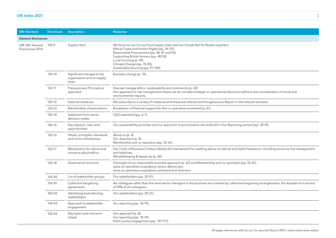| GRI Index 2021 |  |  |
|----------------|--|--|
|                |  |  |

| <b>GRI Standard</b>                                           | <b>Disclosure</b> | <b>Description</b>                                                 | Response                                                                                                                                                                                                                                                                                                                 |
|---------------------------------------------------------------|-------------------|--------------------------------------------------------------------|--------------------------------------------------------------------------------------------------------------------------------------------------------------------------------------------------------------------------------------------------------------------------------------------------------------------------|
| <b>General disclosures</b>                                    |                   |                                                                    |                                                                                                                                                                                                                                                                                                                          |
| 102-9<br>Supply chain<br>GRI 102: General<br>Disclosures 2016 |                   |                                                                    | We focus on our Co-op Food supply chain and our Goods Not for Resale suppliers.<br>Ethical Trade and Human Rights (pp. 34-39).<br>Responsible Procurement (pp. 46-47 and 50).<br>Supporting British farmers (pp. 48-50).<br>Local Sourcing (p. 49).<br>Climate Change (pp. 76-85).<br>Sustainable Sourcing (pp. 91-100). |
|                                                               | 102-10            | Significant changes to the<br>organisation and its supply<br>chain | Business change (p. 18).                                                                                                                                                                                                                                                                                                 |
|                                                               | 102-11            | Precautionary Principle or<br>approach                             | How we manage ethics, sustainability and community (p. 22).<br>Our approach to risk management means we do not take strategic or operational decisions without due consideration of social and<br>environmental impacts.                                                                                                 |
|                                                               | 102-12            | External initiatives                                               | We subscribe to a variety of initiatives and these are referenced throughout our Report in the relevant sections.                                                                                                                                                                                                        |
|                                                               | 102-13            | Membership of associations                                         | Breakdown of financial support for the co-operative movement (p. 61).                                                                                                                                                                                                                                                    |
|                                                               | 102-14            | Statement from senior<br>decision-maker                            | CEO statement (pp. 6-7).                                                                                                                                                                                                                                                                                                 |
|                                                               | 102-15            | Key impacts, risks, and<br>opportunities                           | Our sustainability priorities and our approach to prioritisation are outlined in Our Reporting section (pp. 18-19).                                                                                                                                                                                                      |
|                                                               | 102-16            | Values, principles, standards,<br>and norms of behaviour           | About us (p. 4).<br>Our Approach (p. 8).<br>Membership and co-operation (pp. 55-61).                                                                                                                                                                                                                                     |
|                                                               | 102-17            | Mechanisms for advice and<br>concerns about ethics                 | Our Code of Business Conduct details the mechanisms for seeking advice on ethical and lawful behaviour, including access to line management<br>and helplines.<br>Whistleblowing & Speak Up (p. 28).                                                                                                                      |
|                                                               | 102-18            | Governance structure                                               | Oversight of our responsible business approach (p. 22) and Membership and co-operation (pp. 55-61).<br>www.co-operative.coop/about-us/our-democracy<br>www.co-operative.coop/about-us/board-and-directors                                                                                                                |
|                                                               | 102-40            | List of stakeholder groups                                         | Our stakeholders (pp. 20-21).                                                                                                                                                                                                                                                                                            |
|                                                               | 102-41            | Collective bargaining<br>agreements                                | All colleagues other than the most senior managers in the business are covered by collective bargaining arrangements; this equates to in excess<br>of 99% of all colleagues.                                                                                                                                             |
|                                                               | 102-42            | Identifying and selecting<br>stakeholders                          | Our stakeholders (pp. 20-21).                                                                                                                                                                                                                                                                                            |
|                                                               | 102-43            | Approach to stakeholder<br>engagement                              | Our reporting (pp. 18-19).                                                                                                                                                                                                                                                                                               |
|                                                               | 102-44            | Key topics and concerns<br>raised                                  | Our approach (p. 8).<br>Our reporting (pp. 18-19).<br>Public policy engagement (pp. 107-111).                                                                                                                                                                                                                            |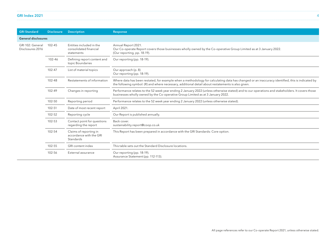| GRI Index 2021 |  |  |  |
|----------------|--|--|--|
|----------------|--|--|--|

| <b>GRI Standard</b>                  | <b>Disclosure</b> | <b>Description</b>                                               | Response                                                                                                                                                                                                                                              |
|--------------------------------------|-------------------|------------------------------------------------------------------|-------------------------------------------------------------------------------------------------------------------------------------------------------------------------------------------------------------------------------------------------------|
| <b>General disclosures</b>           |                   |                                                                  |                                                                                                                                                                                                                                                       |
| GRI 102: General<br>Disclosures 2016 | 102-45            | Entities included in the<br>consolidated financial<br>statements | Annual Report 2021.<br>Our Co-operate Report covers those businesses wholly owned by the Co-operative Group Limited as at 3 January 2022.<br>(Our reporting, pp. 18-19).                                                                              |
|                                      | 102-46            | Defining report content and<br>topic Boundaries                  | Our reporting (pp. 18-19).                                                                                                                                                                                                                            |
|                                      | 102-47            | List of material topics                                          | Our approach (p. 8)<br>Our reporting (pp. 18-19).                                                                                                                                                                                                     |
|                                      | 102-48            | Restatements of information                                      | Where data has been restated, for example when a methodology for calculating data has changed or an inaccuracy identified, this is indicated by<br>the following symbol: (R) and where necessary, additional detail about restatements is also given. |
|                                      | 102-49            | Changes in reporting                                             | Performance relates to the 52 week year ending 2 January 2022 (unless otherwise stated) and to our operations and stakeholders. It covers those<br>businesses wholly owned by the Co-operative Group Limited as at 3 January 2022.                    |
|                                      | 102-50            | Reporting period                                                 | Performance relates to the 52 week year ending 2 January 2022 (unless otherwise stated).                                                                                                                                                              |
|                                      | 102-51            | Date of most recent report                                       | April 2021.                                                                                                                                                                                                                                           |
|                                      | 102-52            | Reporting cycle                                                  | Our Report is published annually.                                                                                                                                                                                                                     |
|                                      | 102-53            | Contact point for questions<br>regarding the report              | Back cover.<br>sustainability.report@coop.co.uk                                                                                                                                                                                                       |
|                                      | 102-54            | Claims of reporting in<br>accordance with the GRI<br>Standards   | This Report has been prepared in accordance with the GRI Standards: Core option.                                                                                                                                                                      |
|                                      | 102-55            | GRI content index                                                | This table sets out the Standard Disclosure locations.                                                                                                                                                                                                |
|                                      | 102-56            | External assurance                                               | Our reporting (pp. 18-19).<br>Assurance Statement (pp. 112-113).                                                                                                                                                                                      |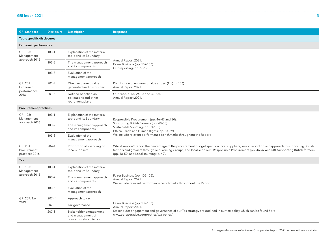| GRI Index 2021 |  |
|----------------|--|
|                |  |

| <b>GRI Standard</b>                                                                        | <b>Disclosure</b> | <b>Description</b>                                                     | Response                                                                                                                                                                                                                                                                                                                               |  |  |  |  |  |
|--------------------------------------------------------------------------------------------|-------------------|------------------------------------------------------------------------|----------------------------------------------------------------------------------------------------------------------------------------------------------------------------------------------------------------------------------------------------------------------------------------------------------------------------------------|--|--|--|--|--|
| Topic specific disclosures                                                                 |                   |                                                                        |                                                                                                                                                                                                                                                                                                                                        |  |  |  |  |  |
| <b>Economic performance</b>                                                                |                   |                                                                        |                                                                                                                                                                                                                                                                                                                                        |  |  |  |  |  |
| GRI 103:<br>Management                                                                     | $103-1$           | Explanation of the material<br>topic and its Boundary                  |                                                                                                                                                                                                                                                                                                                                        |  |  |  |  |  |
| approach 2016                                                                              | $103 - 2$         | The management approach<br>and its components                          | Annual Report 2021.<br>Fairer Business (pp. 102-106).<br>Our reporting (pp. 18-19).                                                                                                                                                                                                                                                    |  |  |  |  |  |
|                                                                                            | $103 - 3$         | Evaluation of the<br>management approach                               |                                                                                                                                                                                                                                                                                                                                        |  |  |  |  |  |
| GRI 201:<br>Economic                                                                       | $201-1$           | Direct economic value<br>generated and distributed                     | Distribution of economic value added (fm) (p. 106).<br>Annual Report 2021.                                                                                                                                                                                                                                                             |  |  |  |  |  |
| performance<br>$201 - 3$<br>2016                                                           |                   | Defined benefit plan<br>obligations and other<br>retirement plans      | Our People (pp. 24-28 and 30-33).<br>Annual Report 2021.                                                                                                                                                                                                                                                                               |  |  |  |  |  |
| <b>Procurement practices</b>                                                               |                   |                                                                        |                                                                                                                                                                                                                                                                                                                                        |  |  |  |  |  |
| GRI 103:<br>$103-1$<br>Explanation of the material<br>topic and its Boundary<br>Management |                   |                                                                        | Responsible Procurement (pp. 46-47 and 50).                                                                                                                                                                                                                                                                                            |  |  |  |  |  |
| approach 2016                                                                              | $103 - 2$         | The management approach<br>and its components                          | Supporting British Farmers (pp. 48-50).<br>Sustainable Sourcing (pp. 91-100).<br>Ethical Trade and Human Rights (pp. 34-39).                                                                                                                                                                                                           |  |  |  |  |  |
|                                                                                            | $103 - 3$         | Evaluation of the<br>management approach                               | We include relevant performance benchmarks throughout the Report.                                                                                                                                                                                                                                                                      |  |  |  |  |  |
| GRI 204:<br>Procurement<br>practices 2016                                                  | $204-1$           | Proportion of spending on<br>local suppliers                           | Whilst we don't report the percentage of the procurement budget spent on local suppliers, we do report on our approach to supporting British<br>farmers and growers through our Farming Groups, and local suppliers. Responsible Procurement (pp. 46-47 and 50), Supporting British farmers<br>(pp. 48-50) and Local sourcing (p. 49). |  |  |  |  |  |
| Tax                                                                                        |                   |                                                                        |                                                                                                                                                                                                                                                                                                                                        |  |  |  |  |  |
| GRI 103:<br>Management                                                                     | $103-1$           | Explanation of the material<br>topic and its Boundary                  |                                                                                                                                                                                                                                                                                                                                        |  |  |  |  |  |
| approach 2016                                                                              | $103 - 2$         | The management approach<br>and its components                          | Fairer Business (pp. 102-106).<br>Annual Report 2021.<br>We include relevant performance benchmarks throughout the Report.                                                                                                                                                                                                             |  |  |  |  |  |
|                                                                                            | $103 - 3$         | Evaluation of the<br>management approach                               |                                                                                                                                                                                                                                                                                                                                        |  |  |  |  |  |
| GRI 207: Tax                                                                               | $207 - 1$         | Approach to tax                                                        |                                                                                                                                                                                                                                                                                                                                        |  |  |  |  |  |
| 2019                                                                                       | $207 - 2$         | Tax governance                                                         | Fairer Business (pp. 102-106).<br>Annual Report 2021.                                                                                                                                                                                                                                                                                  |  |  |  |  |  |
|                                                                                            | $207 - 3$         | Stakeholder engagement<br>and management of<br>concerns related to tax | Stakeholder engagement and governance of our Tax strategy are outlined in our tax policy which can be found here<br>www.co-operative.coop/ethics/tax-policy/                                                                                                                                                                           |  |  |  |  |  |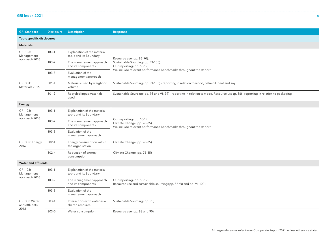| GRI Index 2021 |  |
|----------------|--|
|----------------|--|

| <b>GRI Standard</b>               | <b>Disclosure</b> | <b>Description</b>                                    | Response                                                                                                                            |  |  |  |
|-----------------------------------|-------------------|-------------------------------------------------------|-------------------------------------------------------------------------------------------------------------------------------------|--|--|--|
| <b>Topic specific disclosures</b> |                   |                                                       |                                                                                                                                     |  |  |  |
| <b>Materials</b>                  |                   |                                                       |                                                                                                                                     |  |  |  |
| GRI 103:<br>Management            | $103-1$           | Explanation of the material<br>topic and its Boundary | Resource use (pp. 86-90).                                                                                                           |  |  |  |
| approach 2016                     | $103 - 2$         | The management approach<br>and its components         | Sustainable Sourcing (pp. 91-100).<br>Our reporting (pp. 18-19).                                                                    |  |  |  |
|                                   | $103 - 3$         | Evaluation of the<br>management approach              | We include relevant performance benchmarks throughout the Report.                                                                   |  |  |  |
| GRI 301:<br>Materials 2016        | $301-1$           | Materials used by weight or<br>volume                 | Sustainable Sourcing (pp. 91-100) - reporting in relation to wood, palm oil, peat and soy.                                          |  |  |  |
|                                   | $301 - 2$         | Recycled input materials<br>used                      | Sustainable Sourcing (pp. 93 and 98-99) - reporting in relation to wood. Resource use (p. 86) - reporting in relation to packaging. |  |  |  |
| Energy                            |                   |                                                       |                                                                                                                                     |  |  |  |
| GRI 103:<br>Management            | $103-1$           | Explanation of the material<br>topic and its Boundary |                                                                                                                                     |  |  |  |
| approach 2016                     | $103 - 2$         | The management approach<br>and its components         | Our reporting (pp. 18-19).<br>Climate Change (pp. 76-85).<br>We include relevant performance benchmarks throughout the Report.      |  |  |  |
|                                   | $103 - 3$         | Evaluation of the<br>management approach              |                                                                                                                                     |  |  |  |
| GRI 302: Energy<br>2016           | $302-1$           | Energy consumption within<br>the organisation         | Climate Change (pp. 76-85).                                                                                                         |  |  |  |
|                                   | $302 - 4$         | Reduction of energy<br>consumption                    | Climate Change (pp. 76-85).                                                                                                         |  |  |  |
| <b>Water and effluents</b>        |                   |                                                       |                                                                                                                                     |  |  |  |
| GRI 103:<br>Management            | $103-1$           | Explanation of the material<br>topic and its Boundary |                                                                                                                                     |  |  |  |
| approach 2016                     | $103 - 2$         | The management approach<br>and its components         | Our reporting (pp. 18-19).<br>Resource use and sustainable sourcing (pp. 86-90 and pp. 91-100).                                     |  |  |  |
|                                   | $103 - 3$         | Evaluation of the<br>management approach              |                                                                                                                                     |  |  |  |
| GRI 303: Water<br>and effluents   | $303-1$           | Interactions with water as a<br>shared resource       | Sustainable Sourcing (pp. 93).                                                                                                      |  |  |  |
| 2018                              | 303-5             | Water consumption                                     | Resource use (pp. 88 and 90).                                                                                                       |  |  |  |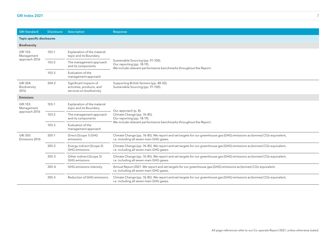| GRI Index 2021 |  |  |
|----------------|--|--|
|                |  |  |

| <b>GRI Standard</b>              | <b>Disclosure</b> | <b>Description</b>                                                              | Response                                                                                                                                                             |
|----------------------------------|-------------------|---------------------------------------------------------------------------------|----------------------------------------------------------------------------------------------------------------------------------------------------------------------|
| Topic specific disclosures       |                   |                                                                                 |                                                                                                                                                                      |
| <b>Biodiversity</b>              |                   |                                                                                 |                                                                                                                                                                      |
| GRI 103:<br>Management           | $103-1$           | Explanation of the material<br>topic and its Boundary                           |                                                                                                                                                                      |
| approach 2016                    | $103 - 2$         | The management approach<br>and its components                                   | Sustainable Sourcing (pp. 91-100).<br>Our reporting (pp. 18-19).<br>We include relevant performance benchmarks throughout the Report.                                |
|                                  | $103 - 3$         | Evaluation of the<br>management approach                                        |                                                                                                                                                                      |
| GRI 304:<br>Biodiversity<br>2016 | $304 - 2$         | Significant impacts of<br>activities, products, and<br>services on biodiversity | Supporting British farmers (pp. 48-50).<br>Sustainable Sourcing (pp. 91-100).                                                                                        |
| <b>Emissions</b>                 |                   |                                                                                 |                                                                                                                                                                      |
| GRI 103:<br>Management           | $103-1$           | Explanation of the material<br>topic and its Boundary                           |                                                                                                                                                                      |
| approach 2016                    | $103 - 2$         | The management approach<br>and its components                                   | Our approach (p. 8).<br>Climate Change (pp. 76-85).<br>Our reporting (pp. 18-19).                                                                                    |
|                                  | $103 - 3$         | Evaluation of the<br>management approach                                        | We include relevant performance benchmarks throughout the Report.                                                                                                    |
| GRI 305:<br>Emissions 2016       | $305 - 1$         | Direct (Scope 1) GHG<br>emissions                                               | Climate Change (pp. 76-85). We report and set targets for our greenhouse gas (GHG) emissions as (tonnes) CO2-equivalent,<br>i.e. including all seven main GHG gases. |
|                                  | $305 - 2$         | Energy indirect (Scope 2)<br>GHG emissions                                      | Climate Change (pp. 76-85). We report and set targets for our greenhouse gas (GHG) emissions as (tonnes) CO2-equivalent,<br>i.e. including all seven main GHG gases. |
|                                  | $305 - 3$         | Other indirect (Scope 3)<br>GHG emissions                                       | Climate Change (pp. 76-85). We report and set targets for our greenhouse gas (GHG) emissions as (tonnes) CO2-equivalent,<br>i.e. including all seven main GHG gases. |
|                                  | $305 - 4$         | GHG emissions intensity                                                         | Annual Report 2021. We report and set targets for our greenhouse gas (GHG) emissions as (tonnes) CO2-equivalent,<br>i.e. including all seven main GHG gases.         |
|                                  | $305 - 5$         | Reduction of GHG emissions                                                      | Climate Change (pp. 76-85). We report and set targets for our greenhouse gas (GHG) emissions as (tonnes) CO2-equivalent,<br>i.e. including all seven main GHG gases. |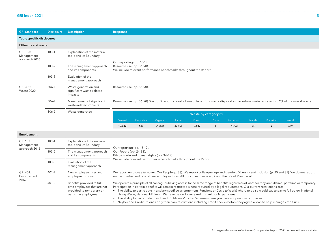| GRI Index 2021 |  |
|----------------|--|
|----------------|--|

| <b>GRI Standard</b>                     | <b>Disclosure</b>            | <b>Description</b>                                           | Response                     |                                                                                                                              |         |        |         |                       |                                                                                                                                             |        |                |      |
|-----------------------------------------|------------------------------|--------------------------------------------------------------|------------------------------|------------------------------------------------------------------------------------------------------------------------------|---------|--------|---------|-----------------------|---------------------------------------------------------------------------------------------------------------------------------------------|--------|----------------|------|
| Topic specific disclosures              |                              |                                                              |                              |                                                                                                                              |         |        |         |                       |                                                                                                                                             |        |                |      |
| <b>Effluents and waste</b>              |                              |                                                              |                              |                                                                                                                              |         |        |         |                       |                                                                                                                                             |        |                |      |
| GRI 103:<br>Management<br>approach 2016 | $103-1$                      | Explanation of the material<br>topic and its Boundary        |                              | Our reporting (pp. 18-19).<br>Resource use (pp. 86-90).<br>We include relevant performance benchmarks throughout the Report. |         |        |         |                       |                                                                                                                                             |        |                |      |
|                                         | $103 - 2$                    | The management approach<br>and its components                |                              |                                                                                                                              |         |        |         |                       |                                                                                                                                             |        |                |      |
|                                         | $103 - 3$                    | Evaluation of the<br>management approach                     |                              |                                                                                                                              |         |        |         |                       |                                                                                                                                             |        |                |      |
| GRI 306:<br>Waste 2020                  | 306-1                        | Waste generation and<br>significant waste-related<br>impacts |                              | Resource use (pp. 86-90).                                                                                                    |         |        |         |                       |                                                                                                                                             |        |                |      |
|                                         | $306 - 2$                    | Management of significant<br>waste-related impacts           |                              |                                                                                                                              |         |        |         |                       | Resource use (pp. 86-90). We don't report a break-down of hazardous waste disposal as hazardous waste represents c.2% of our overall waste. |        |                |      |
|                                         | $306 - 3$<br>Waste generated |                                                              |                              |                                                                                                                              |         |        |         | Waste by category (t) |                                                                                                                                             |        |                |      |
|                                         |                              |                                                              | General                      | Recycable                                                                                                                    | Organic | Paper  | Plastic | Glass                 | Hazardous                                                                                                                                   | Metals | Electrical     | Wood |
|                                         |                              |                                                              | 12,042                       | 440                                                                                                                          | 21,382  | 42,955 | 3,687   | 6                     | 1,793                                                                                                                                       | 64     | $\overline{2}$ | 679  |
| Employment                              |                              |                                                              |                              |                                                                                                                              |         |        |         |                       |                                                                                                                                             |        |                |      |
| GRI 103:<br>Management<br>approach 2016 | $103-1$                      | Explanation of the material<br>topic and its Boundary        |                              |                                                                                                                              |         |        |         |                       |                                                                                                                                             |        |                |      |
|                                         | 1022                         | The concerns and account and account of                      | $0.00001 - 1.00001 - 0.0001$ | Our reporting (pp. 18-19).                                                                                                   |         |        |         |                       |                                                                                                                                             |        |                |      |

| approach 2016                  |           | copic and its boarigary                                                                                      | Our reporting (pp. 18-19).                                                                                                                                                                                                                                                                                                                                                                                                                                                                                                                                                                                                                                                                                                                                                           |  |  |  |
|--------------------------------|-----------|--------------------------------------------------------------------------------------------------------------|--------------------------------------------------------------------------------------------------------------------------------------------------------------------------------------------------------------------------------------------------------------------------------------------------------------------------------------------------------------------------------------------------------------------------------------------------------------------------------------------------------------------------------------------------------------------------------------------------------------------------------------------------------------------------------------------------------------------------------------------------------------------------------------|--|--|--|
|                                | $103 - 2$ | The management approach<br>and its components                                                                | Our People (pp. 24-33).<br>Ethical trade and human rights (pp. 34-39).                                                                                                                                                                                                                                                                                                                                                                                                                                                                                                                                                                                                                                                                                                               |  |  |  |
|                                | $103 - 3$ | Evaluation of the<br>management approach                                                                     | We include relevant performance benchmarks throughout the Report.                                                                                                                                                                                                                                                                                                                                                                                                                                                                                                                                                                                                                                                                                                                    |  |  |  |
| GRI 401:<br>Employment<br>2016 | 401-1     | New employee hires and<br>employee turnover                                                                  | We report employee turnover: Our People (p. 33). We report colleague age and gender: Diversity and inclusion (p. 25 and 31). We do not report<br>on the number and rate of new employee hires. All our colleagues are UK and the Isle of Man based.                                                                                                                                                                                                                                                                                                                                                                                                                                                                                                                                  |  |  |  |
|                                | $401 - 2$ | Benefits provided to full-<br>time employees that are not<br>provided to temporary or<br>part-time employees | We operate a principle of all colleagues having access to the same range of benefits regardless of whether they are full time, part time or temporary.<br>Participation in certain benefits will remain restricted where required by a legal requirement. Our current restrictions are:<br>• The ability to participate in a salary sacrifice arrangement (Pensions or Cycle to Work) where to do so would cause pay to fall below National<br>Living Wage, National Minimum Wage or below lower earnings limit for NI purposes.<br>• The ability to participate in a closed Childcare Voucher Scheme where you have not previously done so.<br>• Neyber and Credit Unions apply their own restrictions including credit checks before they agree a loan to help manage credit risk. |  |  |  |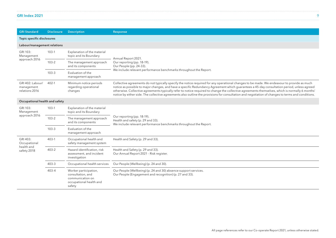| GRI Index 2021 |  |
|----------------|--|
|----------------|--|

| <b>GRI Standard</b>                                   | <b>Disclosure</b> | <b>Description</b>                                                                                  | Response                                                                                                                                                                                                                                                                                                                                                                                                                                                                                                                                                                                         |  |  |  |
|-------------------------------------------------------|-------------------|-----------------------------------------------------------------------------------------------------|--------------------------------------------------------------------------------------------------------------------------------------------------------------------------------------------------------------------------------------------------------------------------------------------------------------------------------------------------------------------------------------------------------------------------------------------------------------------------------------------------------------------------------------------------------------------------------------------------|--|--|--|
| Topic specific disclosures                            |                   |                                                                                                     |                                                                                                                                                                                                                                                                                                                                                                                                                                                                                                                                                                                                  |  |  |  |
| Labour/management relations                           |                   |                                                                                                     |                                                                                                                                                                                                                                                                                                                                                                                                                                                                                                                                                                                                  |  |  |  |
| GRI 103:<br>Management                                | $103-1$           | Explanation of the material<br>topic and its Boundary                                               | Annual Report 2021.                                                                                                                                                                                                                                                                                                                                                                                                                                                                                                                                                                              |  |  |  |
| approach 2016                                         | $103 - 2$         | The management approach<br>and its components                                                       | Our reporting (pp. 18-19).<br>Our People (pp. 24-33).                                                                                                                                                                                                                                                                                                                                                                                                                                                                                                                                            |  |  |  |
|                                                       | $103 - 3$         | Evaluation of the<br>management approach                                                            | We include relevant performance benchmarks throughout the Report.                                                                                                                                                                                                                                                                                                                                                                                                                                                                                                                                |  |  |  |
| GRI 402: Labour/<br>management<br>relations 2016      | 402-1             | Minimum notice periods<br>regarding operational<br>changes                                          | Collective agreements do not typically specify the notice required for any operational changes to be made. We endeavour to provide as much<br>notice as possible to major changes, and have a specific Redundancy Agreement which quarantees a 45-day consultation period, unless agreed<br>otherwise. Collective agreements typically refer to notice required to change the collective agreements themselves, which is normally 6 months'<br>notice by either side. The collective agreements also outline the provisions for consultation and negotiation of changes to terms and conditions. |  |  |  |
| Occupational health and safety                        |                   |                                                                                                     |                                                                                                                                                                                                                                                                                                                                                                                                                                                                                                                                                                                                  |  |  |  |
| GRI 103:<br>Management<br>approach 2016               | $103-1$           | Explanation of the material<br>topic and its Boundary                                               |                                                                                                                                                                                                                                                                                                                                                                                                                                                                                                                                                                                                  |  |  |  |
|                                                       | $103 - 2$         | The management approach<br>and its components                                                       | Our reporting (pp. 18-19).<br>Health and safety (p. 29 and 33).<br>We include relevant performance benchmarks throughout the Report.                                                                                                                                                                                                                                                                                                                                                                                                                                                             |  |  |  |
|                                                       | $103 - 3$         | Evaluation of the<br>management approach                                                            |                                                                                                                                                                                                                                                                                                                                                                                                                                                                                                                                                                                                  |  |  |  |
| GRI 403:<br>Occupational<br>health and<br>safety 2018 | $403-1$           | Occupational health and<br>safety management system                                                 | Health and Safety (p. 29 and 33).                                                                                                                                                                                                                                                                                                                                                                                                                                                                                                                                                                |  |  |  |
|                                                       | $403 - 2$         | Hazard identification, risk<br>assessment, and incident<br>investigation                            | Health and Safety (p. 29 and 33).<br>Our Annual Report 2021 - Risk register.                                                                                                                                                                                                                                                                                                                                                                                                                                                                                                                     |  |  |  |
|                                                       | $403 - 3$         | Occupational health services                                                                        | Our People (Wellbeing) (p. 24 and 30).                                                                                                                                                                                                                                                                                                                                                                                                                                                                                                                                                           |  |  |  |
|                                                       | $403 - 4$         | Worker participation,<br>consultation, and<br>communication on<br>occupational health and<br>safety | Our People (Wellbeing) (p. 24 and 30) absence support services.<br>Our People (Engagement and recognition) (p. 27 and 33).                                                                                                                                                                                                                                                                                                                                                                                                                                                                       |  |  |  |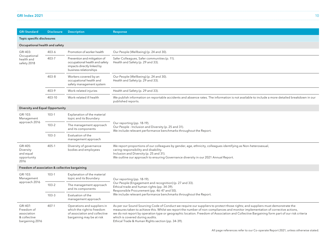| GRI Index 2021 |  |
|----------------|--|
|----------------|--|

| <b>GRI Standard</b>                                                      | <b>Disclosure</b> | <b>Description</b>                                                                                                      | Response                                                                                                                                                                                                                                                                                                                                                                                                                                                                                                 |  |  |
|--------------------------------------------------------------------------|-------------------|-------------------------------------------------------------------------------------------------------------------------|----------------------------------------------------------------------------------------------------------------------------------------------------------------------------------------------------------------------------------------------------------------------------------------------------------------------------------------------------------------------------------------------------------------------------------------------------------------------------------------------------------|--|--|
| <b>Topic specific disclosures</b>                                        |                   |                                                                                                                         |                                                                                                                                                                                                                                                                                                                                                                                                                                                                                                          |  |  |
| Occupational health and safety                                           |                   |                                                                                                                         |                                                                                                                                                                                                                                                                                                                                                                                                                                                                                                          |  |  |
| GRI 403:<br>Occupational<br>health and<br>safety 2018                    | $403 - 6$         | Promotion of worker health                                                                                              | Our People (Wellbeing) (p. 24 and 30).                                                                                                                                                                                                                                                                                                                                                                                                                                                                   |  |  |
|                                                                          | 403-7             | Prevention and mitigation of<br>occupational health and safety<br>impacts directly linked by<br>business relationships  | Safer Colleagues, Safer communities (p. 11).<br>Health and Safety (p. 29 and 33).                                                                                                                                                                                                                                                                                                                                                                                                                        |  |  |
|                                                                          | $403 - 8$         | Workers covered by an<br>occupational health and<br>safety management system                                            | Our People (Wellbeing) (p. 24 and 30).<br>Health and Safety (p. 29 and 33).                                                                                                                                                                                                                                                                                                                                                                                                                              |  |  |
|                                                                          | 403-9             | Work-related injuries                                                                                                   | Health and Safety (p. 29 and 33).                                                                                                                                                                                                                                                                                                                                                                                                                                                                        |  |  |
|                                                                          | 403-10            | Work-related ill health                                                                                                 | We publish information on reportable accidents and absence rates. The information is not available to include a more detailed breakdown in our<br>published reports.                                                                                                                                                                                                                                                                                                                                     |  |  |
| <b>Diversity and Equal Opportunity</b>                                   |                   |                                                                                                                         |                                                                                                                                                                                                                                                                                                                                                                                                                                                                                                          |  |  |
| GRI 103:<br>Management<br>approach 2016                                  | $103-1$           | Explanation of the material<br>topic and its Boundary                                                                   |                                                                                                                                                                                                                                                                                                                                                                                                                                                                                                          |  |  |
|                                                                          | $103 - 2$         | The management approach<br>and its components                                                                           | Our reporting (pp. 18-19).<br>Our People - Inclusion and Diversity (p. 25 and 31).<br>We include relevant performance benchmarks throughout the Report.                                                                                                                                                                                                                                                                                                                                                  |  |  |
|                                                                          | $103 - 3$         | Evaluation of the<br>management approach                                                                                |                                                                                                                                                                                                                                                                                                                                                                                                                                                                                                          |  |  |
| GRI 405:<br>Diversity<br>and equal<br>opportunity<br>2016                | $405 - 1$         | Diversity of governance<br>bodies and employees                                                                         | We report proportions of our colleagues by gender, age, ethnicity, colleagues identifying as Non-heterosexual,<br>caring responsibility and disability.<br>Inclusion and Diversity (p. 25 and 31).<br>We outline our approach to ensuring Governance diversity in our 2021 Annual Report.                                                                                                                                                                                                                |  |  |
| Freedom of association & collective bargaining                           |                   |                                                                                                                         |                                                                                                                                                                                                                                                                                                                                                                                                                                                                                                          |  |  |
| GRI 103:<br>Management                                                   | $103-1$           | Explanation of the material<br>topic and its Boundary                                                                   | Our reporting (pp. 18-19).                                                                                                                                                                                                                                                                                                                                                                                                                                                                               |  |  |
| approach 2016                                                            | $103 - 2$         | The management approach<br>and its components                                                                           | Our People (Engagement and recognition) (p. 27 and 33).<br>Ethical trade and human rights (pp. 34-39).<br>Responsible Procurement (pp. 46-47 and 50).                                                                                                                                                                                                                                                                                                                                                    |  |  |
|                                                                          | $103 - 3$         | Evaluation of the<br>management approach                                                                                | We include relevant performance benchmarks throughout the Report.                                                                                                                                                                                                                                                                                                                                                                                                                                        |  |  |
| GRI 407:<br>Freedom of<br>association<br>& collective<br>bargaining 2016 | 407-1             | Operations and suppliers in<br>which the right to freedom<br>of association and collective<br>bargaining may be at risk | As per our Sound Sourcing Code of Conduct we require our suppliers to protect those rights; and suppliers must demonstrate the<br>measures taken to achieve this. Whilst we report the number of non-compliances and monitor implementation of corrective actions,<br>we do not report by operation type or geographic location. Freedom of Association and Collective Bargaining form part of our risk criteria<br>which is covered during audits.<br>Ethical Trade & Human Rights section (pp. 34-39). |  |  |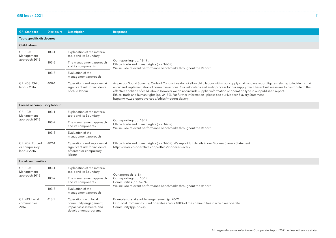| GRI Index 2021 |  |
|----------------|--|
|----------------|--|

| <b>GRI Standard</b>                             | <b>Disclosure</b> | <b>Description</b>                                                                                 | Response                                                                                                                                                                                                                                                                                                                                                                                                                                                                                                                                                                                                        |  |  |  |  |
|-------------------------------------------------|-------------------|----------------------------------------------------------------------------------------------------|-----------------------------------------------------------------------------------------------------------------------------------------------------------------------------------------------------------------------------------------------------------------------------------------------------------------------------------------------------------------------------------------------------------------------------------------------------------------------------------------------------------------------------------------------------------------------------------------------------------------|--|--|--|--|
| Topic specific disclosures                      |                   |                                                                                                    |                                                                                                                                                                                                                                                                                                                                                                                                                                                                                                                                                                                                                 |  |  |  |  |
| <b>Child labour</b>                             |                   |                                                                                                    |                                                                                                                                                                                                                                                                                                                                                                                                                                                                                                                                                                                                                 |  |  |  |  |
| GRI 103:<br>Management<br>approach 2016         | $103-1$           | Explanation of the material<br>topic and its Boundary                                              |                                                                                                                                                                                                                                                                                                                                                                                                                                                                                                                                                                                                                 |  |  |  |  |
|                                                 | $103 - 2$         | The management approach<br>and its components                                                      | Our reporting (pp. 18-19).<br>Ethical trade and human rights (pp. 34-39).<br>We include relevant performance benchmarks throughout the Report.                                                                                                                                                                                                                                                                                                                                                                                                                                                                  |  |  |  |  |
|                                                 | $103 - 3$         | Evaluation of the<br>management approach                                                           |                                                                                                                                                                                                                                                                                                                                                                                                                                                                                                                                                                                                                 |  |  |  |  |
| <b>GRI 408: Child</b><br>labour 2016            | $408 - 1$         | Operations and suppliers at<br>significant risk for incidents<br>of child labour                   | As per our Sound Sourcing Code of Conduct we do not allow child labour within our supply chain and we report figures relating to incidents that<br>occur and implementation of corrective actions. Our risk criteria and audit process for our supply chain has robust measures to contribute to the<br>effective abolition of child labour. However we do not include supplier information or operation type in our published report.<br>Ethical trade and human rights (pp. 34-39). For further information - please see our Modern Slavery Statement<br>https://www.co-operative.coop/ethics/modern-slavery. |  |  |  |  |
| Forced or compulsory labour                     |                   |                                                                                                    |                                                                                                                                                                                                                                                                                                                                                                                                                                                                                                                                                                                                                 |  |  |  |  |
| GRI 103:<br>Management<br>approach 2016         | $103-1$           | Explanation of the material<br>topic and its Boundary                                              |                                                                                                                                                                                                                                                                                                                                                                                                                                                                                                                                                                                                                 |  |  |  |  |
|                                                 | $103 - 2$         | The management approach<br>and its components                                                      | Our reporting (pp. 18-19).<br>Ethical trade and human rights (pp. 34-39).<br>We include relevant performance benchmarks throughout the Report.                                                                                                                                                                                                                                                                                                                                                                                                                                                                  |  |  |  |  |
|                                                 | $103 - 3$         | Evaluation of the<br>management approach                                                           |                                                                                                                                                                                                                                                                                                                                                                                                                                                                                                                                                                                                                 |  |  |  |  |
| GRI 409: Forced<br>or compulsory<br>labour 2016 | 409-1             | Operations and suppliers at<br>significant risk for incidents<br>of forced or compulsory<br>labour | Ethical trade and human rights (pp. 34-39). We report full details in our Modern Slavery Statement<br>https://www.co-operative.coop/ethics/modern-slavery.                                                                                                                                                                                                                                                                                                                                                                                                                                                      |  |  |  |  |
| Local communities                               |                   |                                                                                                    |                                                                                                                                                                                                                                                                                                                                                                                                                                                                                                                                                                                                                 |  |  |  |  |
| GRI 103:<br>Management                          | $103-1$           | Explanation of the material<br>topic and its Boundary                                              | Our approach (p. 8).                                                                                                                                                                                                                                                                                                                                                                                                                                                                                                                                                                                            |  |  |  |  |
| approach 2016                                   | $103 - 2$         | The management approach<br>and its components                                                      | Our reporting (pp. 18-19).<br>Communities (pp. 62-74).                                                                                                                                                                                                                                                                                                                                                                                                                                                                                                                                                          |  |  |  |  |
|                                                 | $103 - 3$         | Evaluation of the<br>management approach                                                           | We include relevant performance benchmarks throughout the Report.                                                                                                                                                                                                                                                                                                                                                                                                                                                                                                                                               |  |  |  |  |
| GRI 413: Local<br>communities<br>2016           | $413 - 1$         | Operations with local<br>community engagement,<br>impact assessments, and<br>development programs  | Examples of stakeholder engagement (p. 20-21).<br>Our Local Community Fund operates across 100% of the communities in which we operate.<br>Community (pp. 62-74).                                                                                                                                                                                                                                                                                                                                                                                                                                               |  |  |  |  |